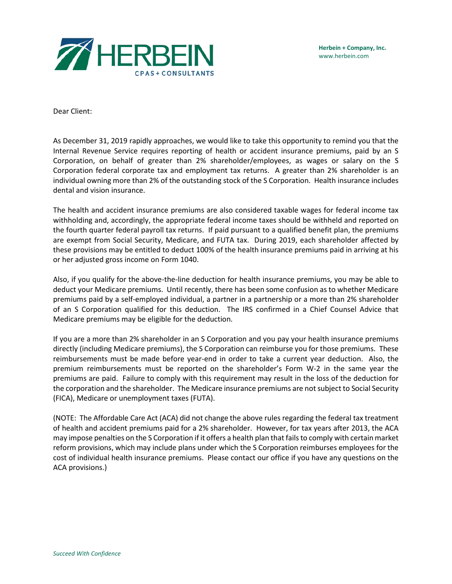

Dear Client:

As December 31, 2019 rapidly approaches, we would like to take this opportunity to remind you that the Internal Revenue Service requires reporting of health or accident insurance premiums, paid by an S Corporation, on behalf of greater than 2% shareholder/employees, as wages or salary on the S Corporation federal corporate tax and employment tax returns. A greater than 2% shareholder is an individual owning more than 2% of the outstanding stock of the S Corporation. Health insurance includes dental and vision insurance.

The health and accident insurance premiums are also considered taxable wages for federal income tax withholding and, accordingly, the appropriate federal income taxes should be withheld and reported on the fourth quarter federal payroll tax returns. If paid pursuant to a qualified benefit plan, the premiums are exempt from Social Security, Medicare, and FUTA tax. During 2019, each shareholder affected by these provisions may be entitled to deduct 100% of the health insurance premiums paid in arriving at his or her adjusted gross income on Form 1040.

Also, if you qualify for the above-the-line deduction for health insurance premiums, you may be able to deduct your Medicare premiums. Until recently, there has been some confusion as to whether Medicare premiums paid by a self-employed individual, a partner in a partnership or a more than 2% shareholder of an S Corporation qualified for this deduction. The IRS confirmed in a Chief Counsel Advice that Medicare premiums may be eligible for the deduction.

If you are a more than 2% shareholder in an S Corporation and you pay your health insurance premiums directly (including Medicare premiums), the S Corporation can reimburse you for those premiums. These reimbursements must be made before year-end in order to take a current year deduction. Also, the premium reimbursements must be reported on the shareholder's Form W-2 in the same year the premiums are paid. Failure to comply with this requirement may result in the loss of the deduction for the corporation and the shareholder. The Medicare insurance premiums are not subject to Social Security (FICA), Medicare or unemployment taxes (FUTA).

(NOTE: The Affordable Care Act (ACA) did not change the above rules regarding the federal tax treatment of health and accident premiums paid for a 2% shareholder. However, for tax years after 2013, the ACA may impose penalties on the S Corporation if it offers a health plan that fails to comply with certain market reform provisions, which may include plans under which the S Corporation reimburses employees for the cost of individual health insurance premiums. Please contact our office if you have any questions on the ACA provisions.)